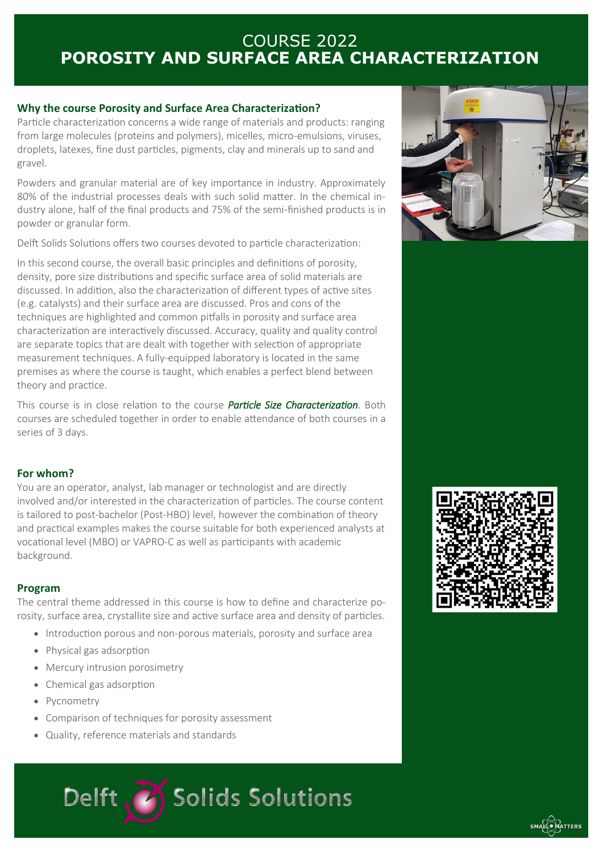# COURSE 2022 **POROSITY AND SURFACE AREA CHARACTERIZATION**

## **Why the course Porosity and Surface Area Characterization?**

Particle characterization concerns a wide range of materials and products: ranging from large molecules (proteins and polymers), micelles, micro-emulsions, viruses, droplets, latexes, fine dust particles, pigments, clay and minerals up to sand and gravel.

Powders and granular material are of key importance in industry. Approximately 80% of the industrial processes deals with such solid matter. In the chemical industry alone, half of the final products and 75% of the semi-finished products is in powder or granular form.

Delft Solids Solutions offers two courses devoted to particle characterization:

In this second course, the overall basic principles and definitions of porosity, density, pore size distributions and specific surface area of solid materials are discussed. In addition, also the characterization of different types of active sites (e.g. catalysts) and their surface area are discussed. Pros and cons of the techniques are highlighted and common pitfalls in porosity and surface area characterization are interactively discussed. Accuracy, quality and quality control are separate topics that are dealt with together with selection of appropriate measurement techniques. A fully-equipped laboratory is located in the same premises as where the course is taught, which enables a perfect blend between theory and practice.

This course is in close relation to the course *Particle Size Characterization*. Both courses are scheduled together in order to enable attendance of both courses in a series of 3 days.

### **For whom?**

You are an operator, analyst, lab manager or technologist and are directly involved and/or interested in the characterization of particles. The course content is tailored to post-bachelor (Post-HBO) level, however the combination of theory and practical examples makes the course suitable for both experienced analysts at vocational level (MBO) or VAPRO-C as well as participants with academic background.

### **Program**

The central theme addressed in this course is how to define and characterize porosity, surface area, crystallite size and active surface area and density of particles.

- Introduction porous and non-porous materials, porosity and surface area
- Physical gas adsorption
- Mercury intrusion porosimetry
- Chemical gas adsorption
- Pycnometry
- Comparison of techniques for porosity assessment
- Quality, reference materials and standards